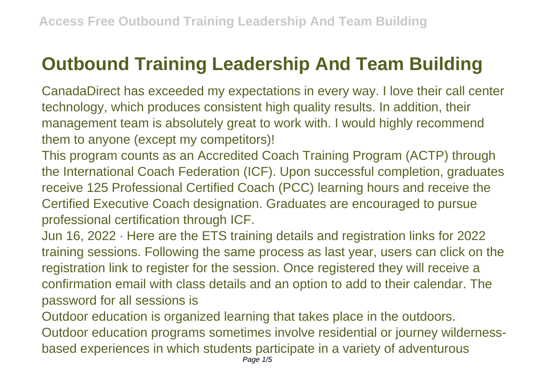## **Outbound Training Leadership And Team Building**

CanadaDirect has exceeded my expectations in every way. I love their call center technology, which produces consistent high quality results. In addition, their management team is absolutely great to work with. I would highly recommend them to anyone (except my competitors)!

This program counts as an Accredited Coach Training Program (ACTP) through the International Coach Federation (ICF). Upon successful completion, graduates receive 125 Professional Certified Coach (PCC) learning hours and receive the Certified Executive Coach designation. Graduates are encouraged to pursue professional certification through ICF.

Jun 16, 2022 · Here are the ETS training details and registration links for 2022 training sessions. Following the same process as last year, users can click on the registration link to register for the session. Once registered they will receive a confirmation email with class details and an option to add to their calendar. The password for all sessions is

Outdoor education is organized learning that takes place in the outdoors. Outdoor education programs sometimes involve residential or journey wildernessbased experiences in which students participate in a variety of adventurous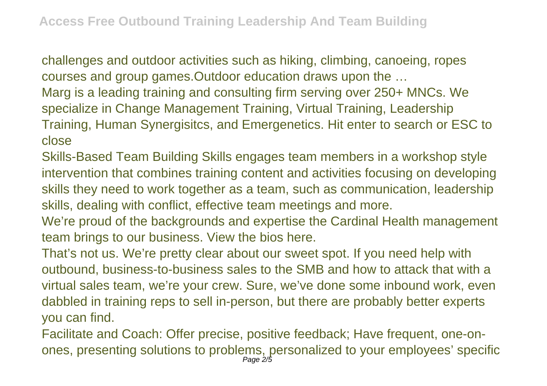challenges and outdoor activities such as hiking, climbing, canoeing, ropes courses and group games.Outdoor education draws upon the …

Marg is a leading training and consulting firm serving over 250+ MNCs. We specialize in Change Management Training, Virtual Training, Leadership Training, Human Synergisitcs, and Emergenetics. Hit enter to search or ESC to close

Skills-Based Team Building Skills engages team members in a workshop style intervention that combines training content and activities focusing on developing skills they need to work together as a team, such as communication, leadership skills, dealing with conflict, effective team meetings and more.

We're proud of the backgrounds and expertise the Cardinal Health management team brings to our business. View the bios here.

That's not us. We're pretty clear about our sweet spot. If you need help with outbound, business-to-business sales to the SMB and how to attack that with a virtual sales team, we're your crew. Sure, we've done some inbound work, even dabbled in training reps to sell in-person, but there are probably better experts you can find.

Facilitate and Coach: Offer precise, positive feedback; Have frequent, one-onones, presenting solutions to problems, personalized to your employees' specific Page 2/5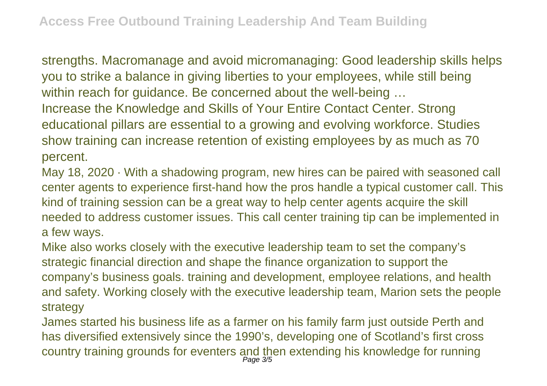strengths. Macromanage and avoid micromanaging: Good leadership skills helps you to strike a balance in giving liberties to your employees, while still being within reach for quidance. Be concerned about the well-being ... Increase the Knowledge and Skills of Your Entire Contact Center. Strong educational pillars are essential to a growing and evolving workforce. Studies show training can increase retention of existing employees by as much as 70 percent.

May 18, 2020 · With a shadowing program, new hires can be paired with seasoned call center agents to experience first-hand how the pros handle a typical customer call. This kind of training session can be a great way to help center agents acquire the skill needed to address customer issues. This call center training tip can be implemented in a few ways.

Mike also works closely with the executive leadership team to set the company's strategic financial direction and shape the finance organization to support the company's business goals. training and development, employee relations, and health and safety. Working closely with the executive leadership team, Marion sets the people strategy

James started his business life as a farmer on his family farm just outside Perth and has diversified extensively since the 1990's, developing one of Scotland's first cross country training grounds for eventers and then extending his knowledge for running Page 3/5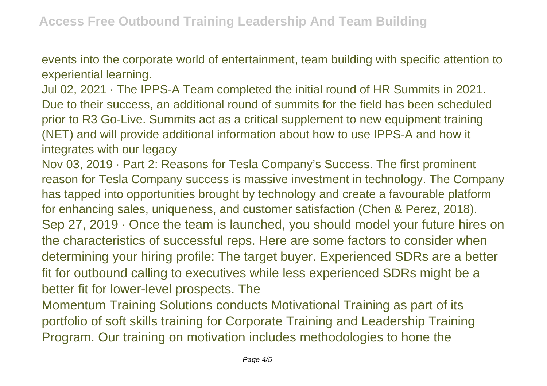events into the corporate world of entertainment, team building with specific attention to experiential learning.

Jul 02, 2021 · The IPPS-A Team completed the initial round of HR Summits in 2021. Due to their success, an additional round of summits for the field has been scheduled prior to R3 Go-Live. Summits act as a critical supplement to new equipment training (NET) and will provide additional information about how to use IPPS-A and how it integrates with our legacy

Nov 03, 2019 · Part 2: Reasons for Tesla Company's Success. The first prominent reason for Tesla Company success is massive investment in technology. The Company has tapped into opportunities brought by technology and create a favourable platform for enhancing sales, uniqueness, and customer satisfaction (Chen & Perez, 2018). Sep 27, 2019 · Once the team is launched, you should model your future hires on the characteristics of successful reps. Here are some factors to consider when determining your hiring profile: The target buyer. Experienced SDRs are a better fit for outbound calling to executives while less experienced SDRs might be a better fit for lower-level prospects. The

Momentum Training Solutions conducts Motivational Training as part of its portfolio of soft skills training for Corporate Training and Leadership Training Program. Our training on motivation includes methodologies to hone the